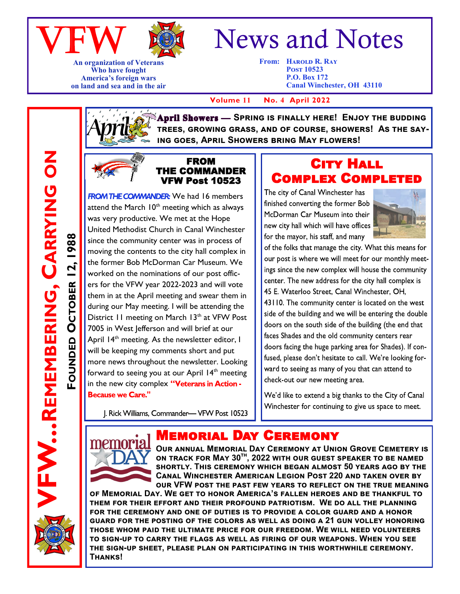



**An organization of Veterans Who have fought America's foreign wars on land and sea and in the air**

# News and Notes

**From: HAROLD R. RAY Post 10523 P.O. Box 172 Canal Winchester, OH 43110**

 **Volume 11 No. 4 April 2022**

**April Showers — SPRING IS FINALLY HERE! ENJOY THE BUDDING trees, growing grass, and of course, showers! As the saying goes, April Showers bring May flowers!**



#### FROM THE COMMANDER VFW Post 10523

**FROM THE COMMANDER:** We had 16 members attend the March  $10<sup>th</sup>$  meeting which as always was very productive. We met at the Hope United Methodist Church in Canal Winchester since the community center was in process of moving the contents to the city hall complex in the former Bob McDorman Car Museum. We worked on the nominations of our post officers for the VFW year 2022-2023 and will vote them in at the April meeting and swear them in during our May meeting. I will be attending the District 11 meeting on March 13<sup>th</sup> at VFW Post 7005 in West lefferson and will brief at our April 14<sup>th</sup> meeting. As the newsletter editor, I will be keeping my comments short and put more news throughout the newsletter. Looking forward to seeing you at our April  $14<sup>th</sup>$  meeting in the new city complex "Veterans in Action -**Because we Care."** 

J. Rick Williams, Commander- VFW Post 10523



The city of Canal Winchester has finished converting the former Bob McDorman Car Museum into their new city hall which will have offices for the mayor, his staff, and many



of the folks that manage the city. What this means for our post is where we will meet for our monthly meetings since the new complex will house the community center. The new address for the city hall complex is 45 E. Waterloo Street, Canal Winchester, OH. 43110. The community center is located on the west side of the building and we will be entering the double

doors on the south side of the building (the end that faces Shades and the old community centers rear doors facing the huge parking area for Shades). If confused, please don't hesitate to call. We're looking forward to seeing as many of you that can attend to check-out our new meeting area.

We'd like to extend a big thanks to the City of Canal Winchester for continuing to give us space to meet.



**BEMEMBERING.** 

**FOUNDED**

**OCTOBER 12, 1988**

**OCTOBER 12, 1988** 

**REMEMBERING, CARRYING ON**

 $\bf{z}$ 

CARRYING

## **EMORIAL DAY CEREMONY**

**Our annual Memorial Day Ceremony at Union Grove Cemetery is on track for May 30th, 2022 with our guest speaker to be named shortly. This ceremony which began almost 50 years ago by the Canal Winchester American Legion Post 220 and taken over by our VFW post the past few years to reflect on the true meaning** 

**of Memorial Day. We get to honor America's fallen heroes and be thankful to them for their effort and their profound patriotism. We do all the planning for the ceremony and one of duties is to provide a color guard and a honor guard for the posting of the colors as well as doing a 21 gun volley honoring those whom paid the ultimate price for our freedom. We will need volunteers to sign-up to carry the flags as well as firing of our weapons. When you see the sign-up sheet, please plan on participating in this worthwhile ceremony. Thanks!**